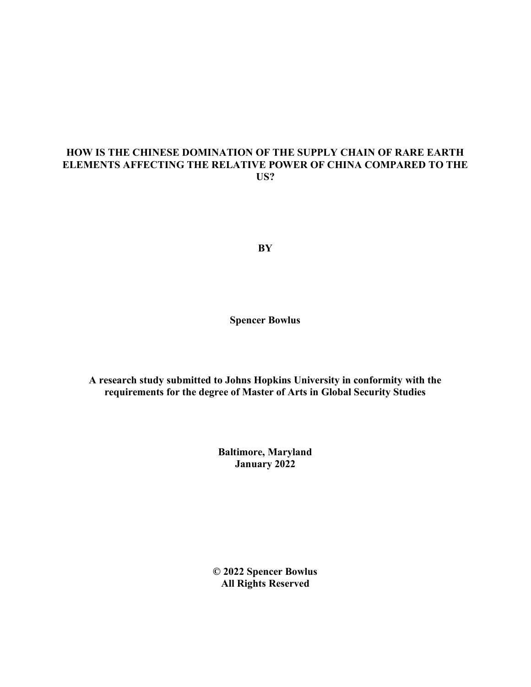# **HOW IS THE CHINESE DOMINATION OF THE SUPPLY CHAIN OF RARE EARTH ELEMENTS AFFECTING THE RELATIVE POWER OF CHINA COMPARED TO THE US?**

**BY**

**Spencer Bowlus**

**A research study submitted to Johns Hopkins University in conformity with the requirements for the degree of Master of Arts in Global Security Studies**

> **Baltimore, Maryland January 2022**

**© 2022 Spencer Bowlus All Rights Reserved**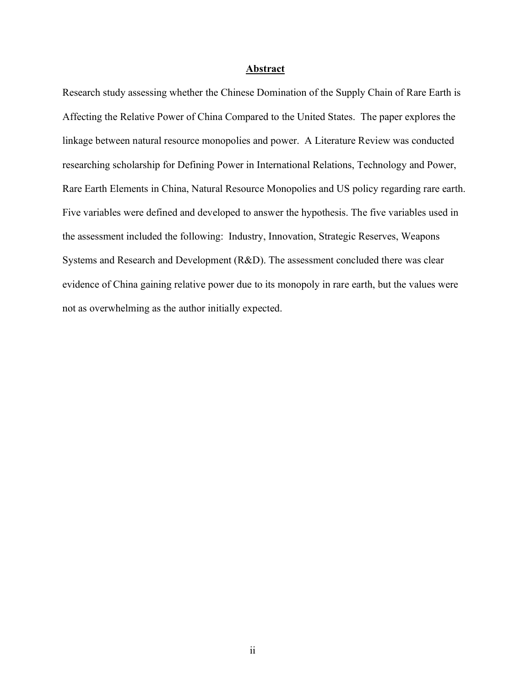#### **Abstract**

Research study assessing whether the Chinese Domination of the Supply Chain of Rare Earth is Affecting the Relative Power of China Compared to the United States. The paper explores the linkage between natural resource monopolies and power. A Literature Review was conducted researching scholarship for Defining Power in International Relations, Technology and Power, Rare Earth Elements in China, Natural Resource Monopolies and US policy regarding rare earth. Five variables were defined and developed to answer the hypothesis. The five variables used in the assessment included the following: Industry, Innovation, Strategic Reserves, Weapons Systems and Research and Development (R&D). The assessment concluded there was clear evidence of China gaining relative power due to its monopoly in rare earth, but the values were not as overwhelming as the author initially expected.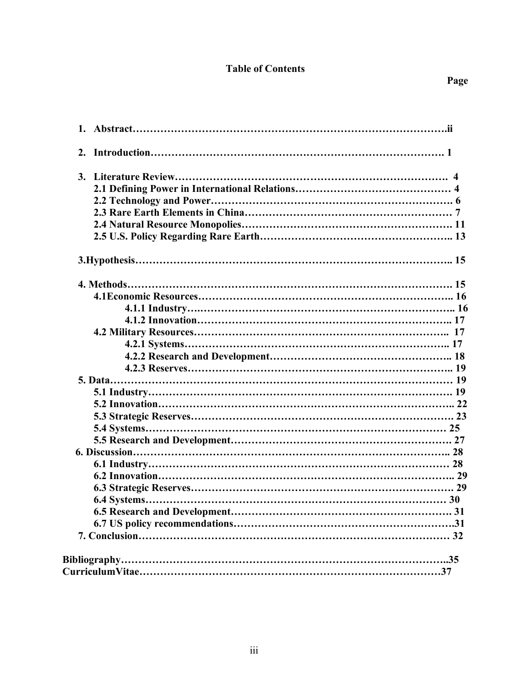# **Table of Contents**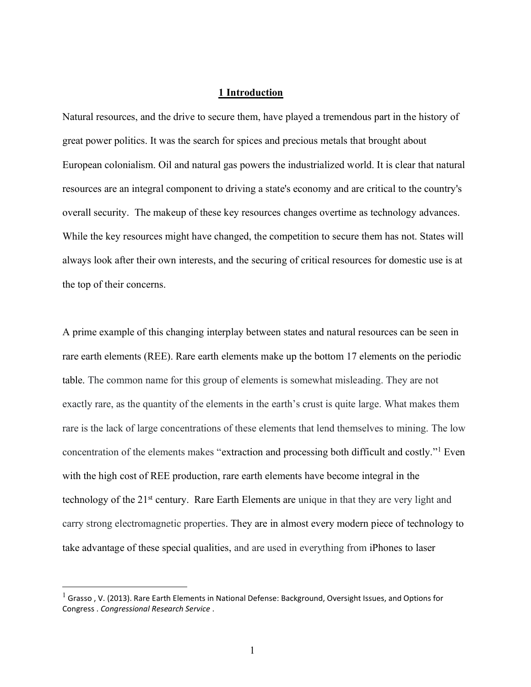# **1 Introduction**

Natural resources, and the drive to secure them, have played a tremendous part in the history of great power politics. It was the search for spices and precious metals that brought about European colonialism. Oil and natural gas powers the industrialized world. It is clear that natural resources are an integral component to driving a state's economy and are critical to the country's overall security. The makeup of these key resources changes overtime as technology advances. While the key resources might have changed, the competition to secure them has not. States will always look after their own interests, and the securing of critical resources for domestic use is at the top of their concerns.

A prime example of this changing interplay between states and natural resources can be seen in rare earth elements (REE). Rare earth elements make up the bottom 17 elements on the periodic table. The common name for this group of elements is somewhat misleading. They are not exactly rare, as the quantity of the elements in the earth's crust is quite large. What makes them rare is the lack of large concentrations of these elements that lend themselves to mining. The low concentration of the elements makes "extraction and processing both difficult and costly."<sup>1</sup> Even with the high cost of REE production, rare earth elements have become integral in the technology of the 21st century. Rare Earth Elements are unique in that they are very light and carry strong electromagnetic properties. They are in almost every modern piece of technology to take advantage of these special qualities, and are used in everything from iPhones to laser

 $1$  Grasso , V. (2013). Rare Earth Elements in National Defense: Background, Oversight Issues, and Options for Congress . *Congressional Research Service* .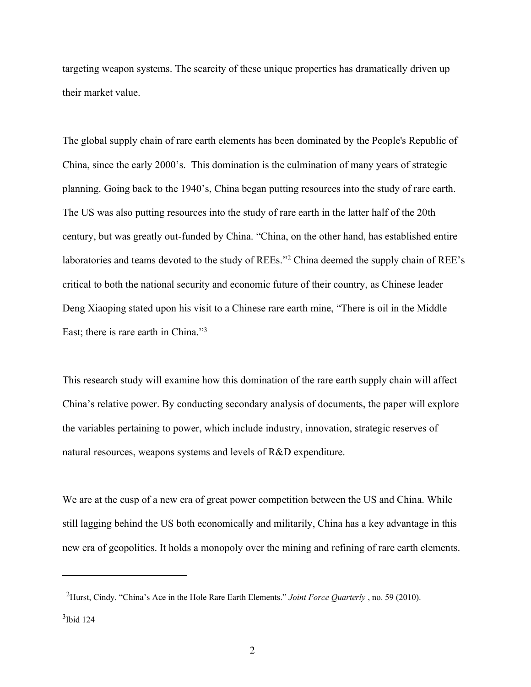targeting weapon systems. The scarcity of these unique properties has dramatically driven up their market value.

The global supply chain of rare earth elements has been dominated by the People's Republic of China, since the early 2000's. This domination is the culmination of many years of strategic planning. Going back to the 1940's, China began putting resources into the study of rare earth. The US was also putting resources into the study of rare earth in the latter half of the 20th century, but was greatly out-funded by China. "China, on the other hand, has established entire laboratories and teams devoted to the study of REEs."<sup>2</sup> China deemed the supply chain of REE's critical to both the national security and economic future of their country, as Chinese leader Deng Xiaoping stated upon his visit to a Chinese rare earth mine, "There is oil in the Middle East; there is rare earth in China."<sup>3</sup>

This research study will examine how this domination of the rare earth supply chain will affect China's relative power. By conducting secondary analysis of documents, the paper will explore the variables pertaining to power, which include industry, innovation, strategic reserves of natural resources, weapons systems and levels of R&D expenditure.

We are at the cusp of a new era of great power competition between the US and China. While still lagging behind the US both economically and militarily, China has a key advantage in this new era of geopolitics. It holds a monopoly over the mining and refining of rare earth elements.

<sup>2</sup>Hurst, Cindy. "China's Ace in the Hole Rare Earth Elements." *Joint Force Quarterly* , no. 59 (2010).

 $3$ Ibid 124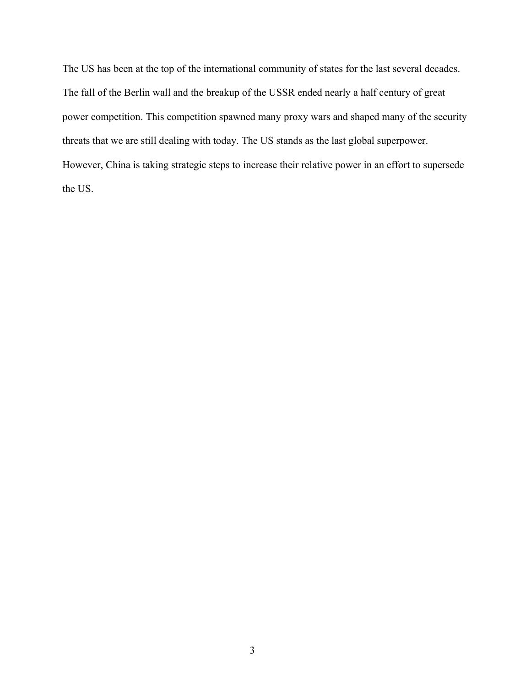The US has been at the top of the international community of states for the last several decades. The fall of the Berlin wall and the breakup of the USSR ended nearly a half century of great power competition. This competition spawned many proxy wars and shaped many of the security threats that we are still dealing with today. The US stands as the last global superpower. However, China is taking strategic steps to increase their relative power in an effort to supersede the US.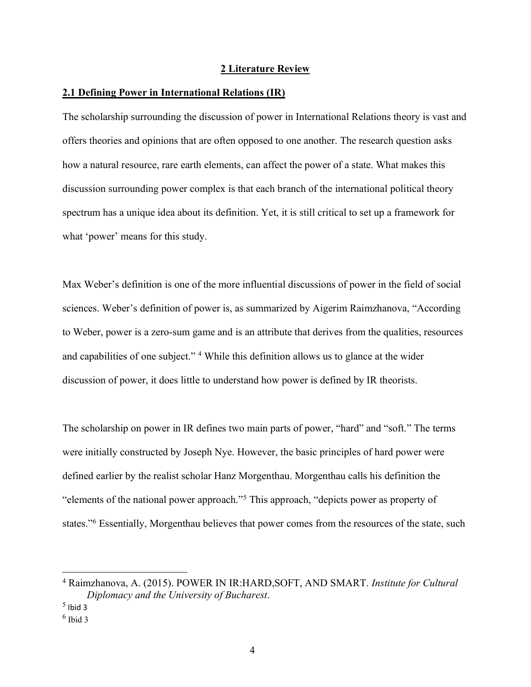### **2 Literature Review**

# **2.1 Defining Power in International Relations (IR)**

The scholarship surrounding the discussion of power in International Relations theory is vast and offers theories and opinions that are often opposed to one another. The research question asks how a natural resource, rare earth elements, can affect the power of a state. What makes this discussion surrounding power complex is that each branch of the international political theory spectrum has a unique idea about its definition. Yet, it is still critical to set up a framework for what 'power' means for this study.

Max Weber's definition is one of the more influential discussions of power in the field of social sciences. Weber's definition of power is, as summarized by Aigerim Raimzhanova, "According to Weber, power is a zero-sum game and is an attribute that derives from the qualities, resources and capabilities of one subject." <sup>4</sup> While this definition allows us to glance at the wider discussion of power, it does little to understand how power is defined by IR theorists.

The scholarship on power in IR defines two main parts of power, "hard" and "soft." The terms were initially constructed by Joseph Nye. However, the basic principles of hard power were defined earlier by the realist scholar Hanz Morgenthau. Morgenthau calls his definition the "elements of the national power approach."<sup>5</sup> This approach, "depicts power as property of states."<sup>6</sup> Essentially, Morgenthau believes that power comes from the resources of the state, such

<sup>4</sup> Raimzhanova, A. (2015). POWER IN IR:HARD,SOFT, AND SMART. *Institute for Cultural Diplomacy and the University of Bucharest*.

 $<sup>5</sup>$  Ibid 3</sup>

<sup>6</sup> Ibid 3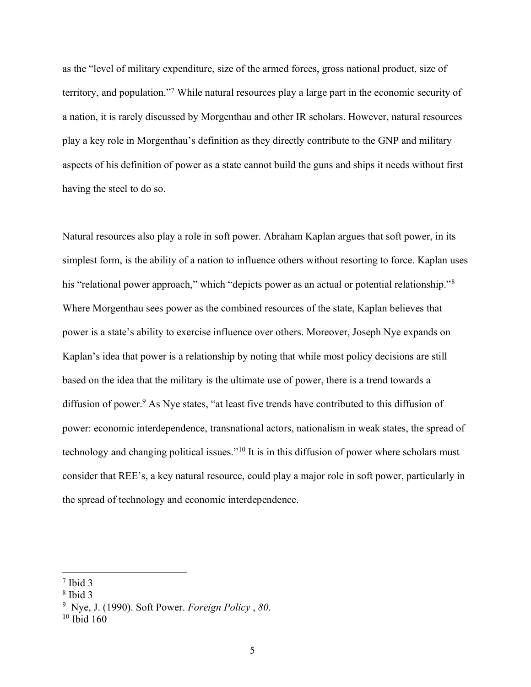as the "level of military expenditure, size of the armed forces, gross national product, size of territory, and population."<sup>7</sup> While natural resources play a large part in the economic security of a nation, it is rarely discussed by Morgenthau and other IR scholars. However, natural resources play a key role in Morgenthau's definition as they directly contribute to the GNP and military aspects of his definition of power as a state cannot build the guns and ships it needs without first having the steel to do so.

Natural resources also play a role in soft power. Abraham Kaplan argues that soft power, in its simplest form, is the ability of a nation to influence others without resorting to force. Kaplan uses his "relational power approach," which "depicts power as an actual or potential relationship."<sup>8</sup> Where Morgenthau sees power as the combined resources of the state, Kaplan believes that power is a state's ability to exercise influence over others. Moreover, Joseph Nye expands on Kaplan's idea that power is a relationship by noting that while most policy decisions are still based on the idea that the military is the ultimate use of power, there is a trend towards a diffusion of power.<sup>9</sup> As Nye states, "at least five trends have contributed to this diffusion of power: economic interdependence, transnational actors, nationalism in weak states, the spread of technology and changing political issues."<sup>10</sup> It is in this diffusion of power where scholars must consider that REE's, a key natural resource, could play a major role in soft power, particularly in the spread of technology and economic interdependence.

<sup>7</sup> Ibid 3

<sup>8</sup> Ibid 3

<sup>9</sup> Nye, J. (1990). Soft Power. *Foreign Policy* , *80*.

 $10$  Ibid  $160$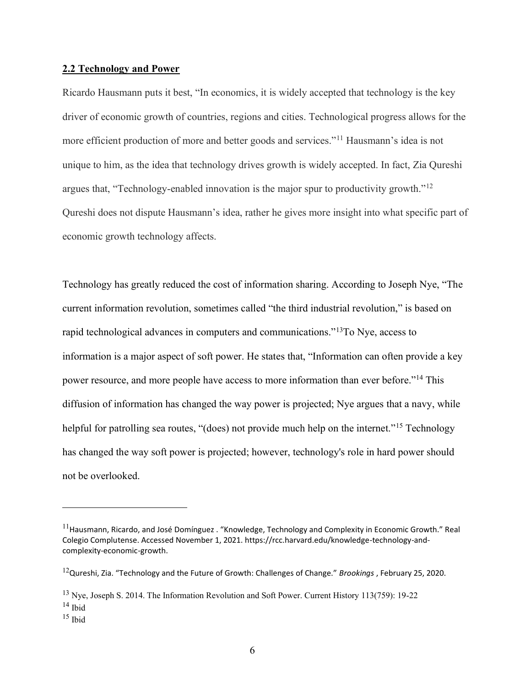## **2.2 Technology and Power**

Ricardo Hausmann puts it best, "In economics, it is widely accepted that technology is the key driver of economic growth of countries, regions and cities. Technological progress allows for the more efficient production of more and better goods and services."<sup>11</sup> Hausmann's idea is not unique to him, as the idea that technology drives growth is widely accepted. In fact, Zia Qureshi argues that, "Technology-enabled innovation is the major spur to productivity growth."<sup>12</sup> Qureshi does not dispute Hausmann's idea, rather he gives more insight into what specific part of economic growth technology affects.

Technology has greatly reduced the cost of information sharing. According to Joseph Nye, "The current information revolution, sometimes called "the third industrial revolution," is based on rapid technological advances in computers and communications."<sup>13</sup>To Nye, access to information is a major aspect of soft power. He states that, "Information can often provide a key power resource, and more people have access to more information than ever before."<sup>14</sup> This diffusion of information has changed the way power is projected; Nye argues that a navy, while helpful for patrolling sea routes, "(does) not provide much help on the internet."<sup>15</sup> Technology has changed the way soft power is projected; however, technology's role in hard power should not be overlooked.

 $11$ Hausmann, Ricardo, and José Domínguez . "Knowledge, Technology and Complexity in Economic Growth." Real Colegio Complutense. Accessed November 1, 2021. https://rcc.harvard.edu/knowledge-technology-andcomplexity-economic-growth.

<sup>12</sup>Qureshi, Zia. "Technology and the Future of Growth: Challenges of Change." *Brookings* , February 25, 2020.

<sup>13</sup> Nye, Joseph S. 2014. The Information Revolution and Soft Power. Current History 113(759): 19-22  $14$  Ibid

 $15$  Ibid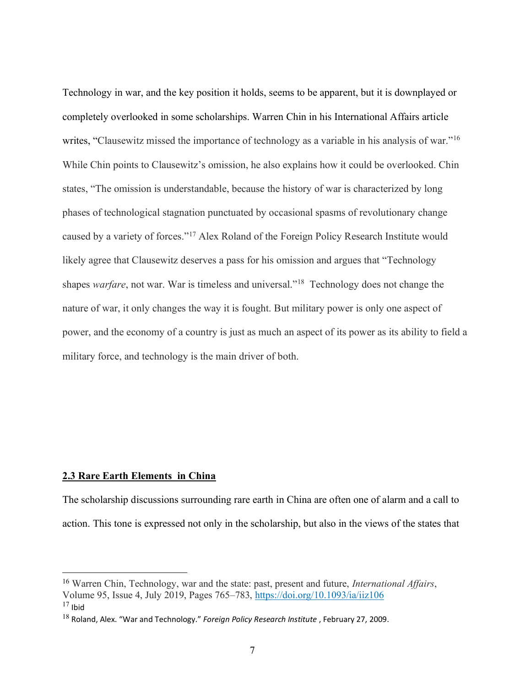Technology in war, and the key position it holds, seems to be apparent, but it is downplayed or completely overlooked in some scholarships. Warren Chin in his International Affairs article writes, "Clausewitz missed the importance of technology as a variable in his analysis of war."<sup>16</sup> While Chin points to Clausewitz's omission, he also explains how it could be overlooked. Chin states, "The omission is understandable, because the history of war is characterized by long phases of technological stagnation punctuated by occasional spasms of revolutionary change caused by a variety of forces."<sup>17</sup> Alex Roland of the Foreign Policy Research Institute would likely agree that Clausewitz deserves a pass for his omission and argues that "Technology shapes *warfare*, not war. War is timeless and universal."<sup>18</sup> Technology does not change the nature of war, it only changes the way it is fought. But military power is only one aspect of power, and the economy of a country is just as much an aspect of its power as its ability to field a military force, and technology is the main driver of both.

#### **2.3 Rare Earth Elements in China**

The scholarship discussions surrounding rare earth in China are often one of alarm and a call to action. This tone is expressed not only in the scholarship, but also in the views of the states that

<sup>16</sup> Warren Chin, Technology, war and the state: past, present and future, *International Affairs*, Volume 95, Issue 4, July 2019, Pages 765–783, <https://doi.org/10.1093/ia/iiz106>  $17$  Ibid

<sup>18</sup> Roland, Alex. "War and Technology." *Foreign Policy Research Institute* , February 27, 2009.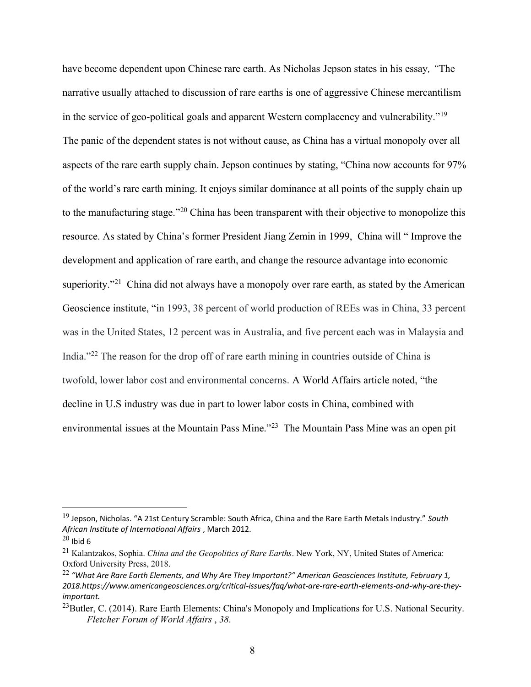have become dependent upon Chinese rare earth. As Nicholas Jepson states in his essay*, "*The narrative usually attached to discussion of rare earths is one of aggressive Chinese mercantilism in the service of geo-political goals and apparent Western complacency and vulnerability."<sup>19</sup> The panic of the dependent states is not without cause, as China has a virtual monopoly over all aspects of the rare earth supply chain. Jepson continues by stating, "China now accounts for 97% of the world's rare earth mining. It enjoys similar dominance at all points of the supply chain up to the manufacturing stage."<sup>20</sup> China has been transparent with their objective to monopolize this resource. As stated by China's former President Jiang Zemin in 1999, China will " Improve the development and application of rare earth, and change the resource advantage into economic superiority."<sup>21</sup> China did not always have a monopoly over rare earth, as stated by the American Geoscience institute, "in 1993, 38 percent of world production of REEs was in China, 33 percent was in the United States, 12 percent was in Australia, and five percent each was in Malaysia and India."<sup>22</sup> The reason for the drop off of rare earth mining in countries outside of China is twofold, lower labor cost and environmental concerns. A World Affairs article noted, "the decline in U.S industry was due in part to lower labor costs in China, combined with environmental issues at the Mountain Pass Mine."<sup>23</sup> The Mountain Pass Mine was an open pit

<sup>19</sup> Jepson, Nicholas. "A 21st Century Scramble: South Africa, China and the Rare Earth Metals Industry." *South African Institute of International Affairs* , March 2012.

 $20$  Ibid 6

<sup>21</sup> Kalantzakos, Sophia. *China and the Geopolitics of Rare Earths*. New York, NY, United States of America: Oxford University Press, 2018.

<sup>22</sup> *"What Are Rare Earth Elements, and Why Are They Important?" American Geosciences Institute, February 1, 2018.https://www.americangeosciences.org/critical-issues/faq/what-are-rare-earth-elements-and-why-are-theyimportant.* 

<sup>&</sup>lt;sup>23</sup>Butler, C. (2014). Rare Earth Elements: China's Monopoly and Implications for U.S. National Security. *Fletcher Forum of World Affairs* , *38*.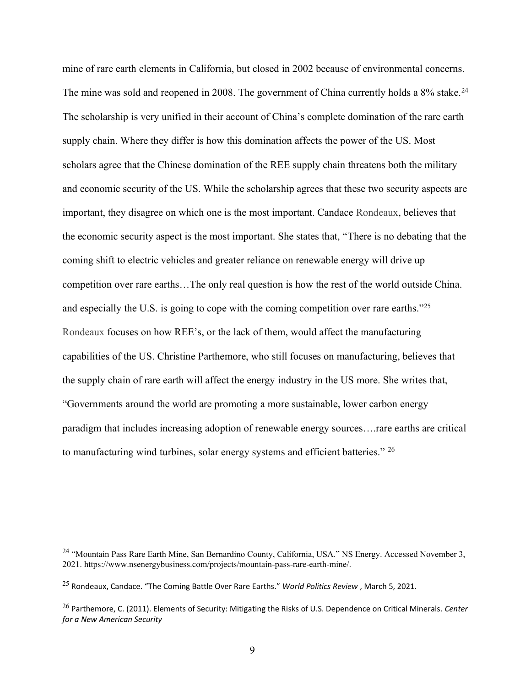mine of rare earth elements in California, but closed in 2002 because of environmental concerns. The mine was sold and reopened in 2008. The government of China currently holds a 8% stake.<sup>24</sup> The scholarship is very unified in their account of China's complete domination of the rare earth supply chain. Where they differ is how this domination affects the power of the US. Most scholars agree that the Chinese domination of the REE supply chain threatens both the military and economic security of the US. While the scholarship agrees that these two security aspects are important, they disagree on which one is the most important. Candace [Rondeaux,](https://www.worldpoliticsreview.com/authors/2516/candace-rondeaux) believes that the economic security aspect is the most important. She states that, "There is no debating that the coming shift to electric vehicles and greater reliance on renewable energy will drive up competition over rare earths…The only real question is how the rest of the world outside China. and especially the U.S. is going to cope with the coming competition over rare earths."<sup>25</sup> [Rondeaux](https://www.worldpoliticsreview.com/authors/2516/candace-rondeaux) focuses on how REE's, or the lack of them, would affect the manufacturing capabilities of the US. Christine Parthemore, who still focuses on manufacturing, believes that the supply chain of rare earth will affect the energy industry in the US more. She writes that, "Governments around the world are promoting a more sustainable, lower carbon energy paradigm that includes increasing adoption of renewable energy sources….rare earths are critical to manufacturing wind turbines, solar energy systems and efficient batteries." <sup>26</sup>

<sup>&</sup>lt;sup>24</sup> "Mountain Pass Rare Earth Mine, San Bernardino County, California, USA." NS Energy. Accessed November 3, 2021. https://www.nsenergybusiness.com/projects/mountain-pass-rare-earth-mine/.

<sup>25</sup> Rondeaux, Candace. "The Coming Battle Over Rare Earths." *World Politics Review* , March 5, 2021.

<sup>26</sup> Parthemore, C. (2011). Elements of Security: Mitigating the Risks of U.S. Dependence on Critical Minerals. *Center for a New American Security*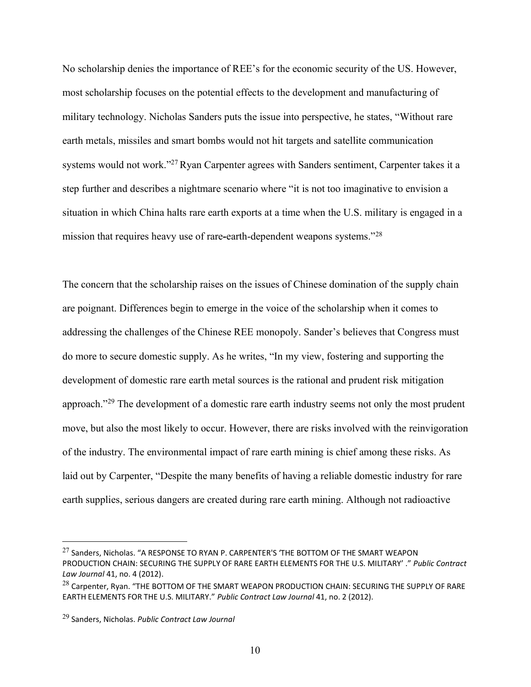No scholarship denies the importance of REE's for the economic security of the US. However, most scholarship focuses on the potential effects to the development and manufacturing of military technology. Nicholas Sanders puts the issue into perspective, he states, "Without rare earth metals, missiles and smart bombs would not hit targets and satellite communication systems would not work."<sup>27</sup>Ryan Carpenter agrees with Sanders sentiment, Carpenter takes it a step further and describes a nightmare scenario where "it is not too imaginative to envision a situation in which China halts rare earth exports at a time when the U.S. military is engaged in a mission that requires heavy use of rare**-**earth-dependent weapons systems."<sup>28</sup>

The concern that the scholarship raises on the issues of Chinese domination of the supply chain are poignant. Differences begin to emerge in the voice of the scholarship when it comes to addressing the challenges of the Chinese REE monopoly. Sander's believes that Congress must do more to secure domestic supply. As he writes, "In my view, fostering and supporting the development of domestic rare earth metal sources is the rational and prudent risk mitigation approach."<sup>29</sup> The development of a domestic rare earth industry seems not only the most prudent move, but also the most likely to occur. However, there are risks involved with the reinvigoration of the industry. The environmental impact of rare earth mining is chief among these risks. As laid out by Carpenter, "Despite the many benefits of having a reliable domestic industry for rare earth supplies, serious dangers are created during rare earth mining. Although not radioactive

 $27$  Sanders, Nicholas. "A RESPONSE TO RYAN P. CARPENTER'S 'THE BOTTOM OF THE SMART WEAPON PRODUCTION CHAIN: SECURING THE SUPPLY OF RARE EARTH ELEMENTS FOR THE U.S. MILITARY' ." *Public Contract Law Journal* 41, no. 4 (2012).

<sup>&</sup>lt;sup>28</sup> Carpenter, Ryan. "THE BOTTOM OF THE SMART WEAPON PRODUCTION CHAIN: SECURING THE SUPPLY OF RARE EARTH ELEMENTS FOR THE U.S. MILITARY." *Public Contract Law Journal* 41, no. 2 (2012).

<sup>29</sup> Sanders, Nicholas. *Public Contract Law Journal*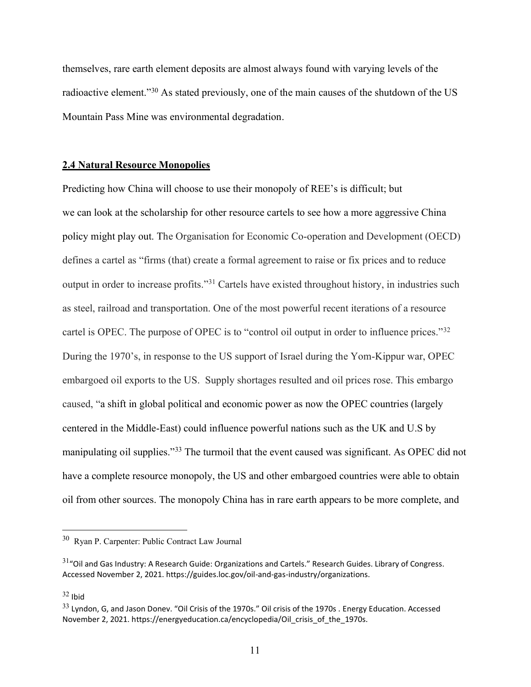themselves, rare earth element deposits are almost always found with varying levels of the radioactive element."<sup>30</sup> As stated previously, one of the main causes of the shutdown of the US Mountain Pass Mine was environmental degradation.

## **2.4 Natural Resource Monopolies**

Predicting how China will choose to use their monopoly of REE's is difficult; but we can look at the scholarship for other resource cartels to see how a more aggressive China policy might play out. The Organisation for Economic Co-operation and Development (OECD) defines a cartel as "firms (that) create a formal agreement to raise or fix prices and to reduce output in order to increase profits."<sup>31</sup> Cartels have existed throughout history, in industries such as steel, railroad and transportation. One of the most powerful recent iterations of a resource cartel is OPEC. The purpose of OPEC is to "control oil output in order to influence prices."<sup>32</sup> During the 1970's, in response to the US support of Israel during the Yom-Kippur war, OPEC embargoed oil exports to the US. Supply shortages resulted and oil prices rose. This embargo caused, "a shift in global political and economic power as now the OPEC countries (largely centered in the Middle-East) could influence powerful nations such as the UK and U.S by manipulating oil supplies."<sup>33</sup> The turmoil that the event caused was significant. As OPEC did not have a complete resource monopoly, the US and other embargoed countries were able to obtain oil from other sources. The monopoly China has in rare earth appears to be more complete, and

<sup>30</sup> Ryan P. Carpenter: Public Contract Law Journal

 $31$ "Oil and Gas Industry: A Research Guide: Organizations and Cartels." Research Guides. Library of Congress. Accessed November 2, 2021. https://guides.loc.gov/oil-and-gas-industry/organizations.

 $32$  Ibid

<sup>&</sup>lt;sup>33</sup> Lyndon, G, and Jason Donev. "Oil Crisis of the 1970s." Oil crisis of the 1970s . Energy Education. Accessed November 2, 2021. https://energyeducation.ca/encyclopedia/Oil\_crisis\_of\_the\_1970s.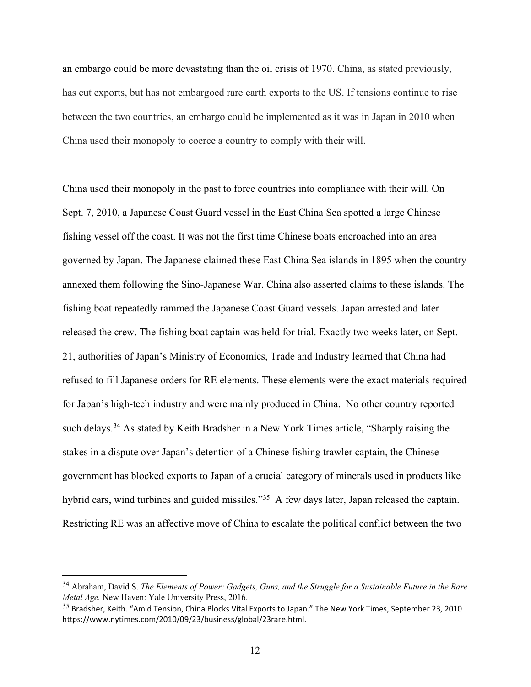an embargo could be more devastating than the oil crisis of 1970. China, as stated previously, has cut exports, but has not embargoed rare earth exports to the US. If tensions continue to rise between the two countries, an embargo could be implemented as it was in Japan in 2010 when China used their monopoly to coerce a country to comply with their will.

China used their monopoly in the past to force countries into compliance with their will. On Sept. 7, 2010, a Japanese Coast Guard vessel in the East China Sea spotted a large Chinese fishing vessel off the coast. It was not the first time Chinese boats encroached into an area governed by Japan. The Japanese claimed these East China Sea islands in 1895 when the country annexed them following the Sino-Japanese War. China also asserted claims to these islands. The fishing boat repeatedly rammed the Japanese Coast Guard vessels. Japan arrested and later released the crew. The fishing boat captain was held for trial. Exactly two weeks later, on Sept. 21, authorities of Japan's Ministry of Economics, Trade and Industry learned that China had refused to fill Japanese orders for RE elements. These elements were the exact materials required for Japan's high-tech industry and were mainly produced in China. No other country reported such delays.<sup>34</sup> As stated by Keith Bradsher in a New York Times article, "Sharply raising the stakes in a dispute over Japan's detention of a Chinese fishing trawler captain, the Chinese government has blocked exports to Japan of a crucial category of minerals used in products like hybrid cars, wind turbines and guided missiles."<sup>35</sup> A few days later, Japan released the captain. Restricting RE was an affective move of China to escalate the political conflict between the two

<sup>34</sup> Abraham, David S. *The Elements of Power: Gadgets, Guns, and the Struggle for a Sustainable Future in the Rare Metal Age.* New Haven: Yale University Press, 2016.

 $35$  Bradsher, Keith. "Amid Tension, China Blocks Vital Exports to Japan." The New York Times, September 23, 2010. https://www.nytimes.com/2010/09/23/business/global/23rare.html.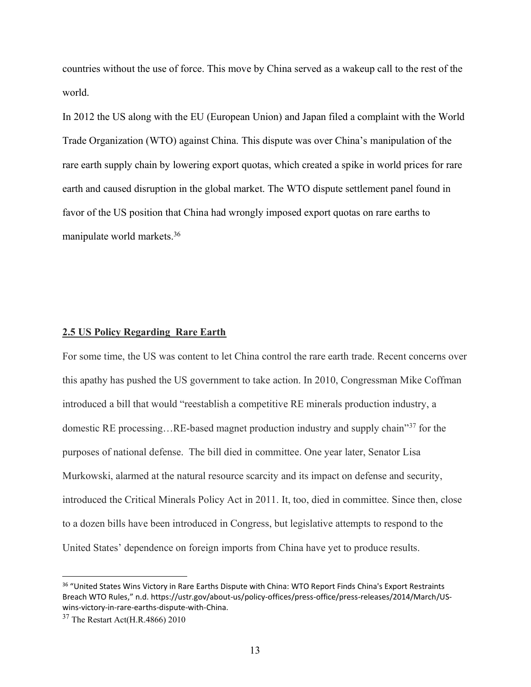countries without the use of force. This move by China served as a wakeup call to the rest of the world.

In 2012 the US along with the EU (European Union) and Japan filed a complaint with the World Trade Organization (WTO) against China. This dispute was over China's manipulation of the rare earth supply chain by lowering export quotas, which created a spike in world prices for rare earth and caused disruption in the global market. The WTO dispute settlement panel found in favor of the US position that China had wrongly imposed export quotas on rare earths to manipulate world markets. 36

# **2.5 US Policy Regarding Rare Earth**

For some time, the US was content to let China control the rare earth trade. Recent concerns over this apathy has pushed the US government to take action. In 2010, Congressman Mike Coffman introduced a bill that would "reestablish a competitive RE minerals production industry, a domestic RE processing…RE-based magnet production industry and supply chain"<sup>37</sup> for the purposes of national defense. The bill died in committee. One year later, Senator Lisa Murkowski, alarmed at the natural resource scarcity and its impact on defense and security, introduced the Critical Minerals Policy Act in 2011. It, too, died in committee. Since then, close to a dozen bills have been introduced in Congress, but legislative attempts to respond to the United States' dependence on foreign imports from China have yet to produce results.

<sup>36</sup> "United States Wins Victory in Rare Earths Dispute with China: WTO Report Finds China's Export Restraints Breach WTO Rules," n.d. https://ustr.gov/about-us/policy-offices/press-office/press-releases/2014/March/USwins-victory-in-rare-earths-dispute-with-China.

<sup>37</sup> The Restart Act(H.R.4866) 2010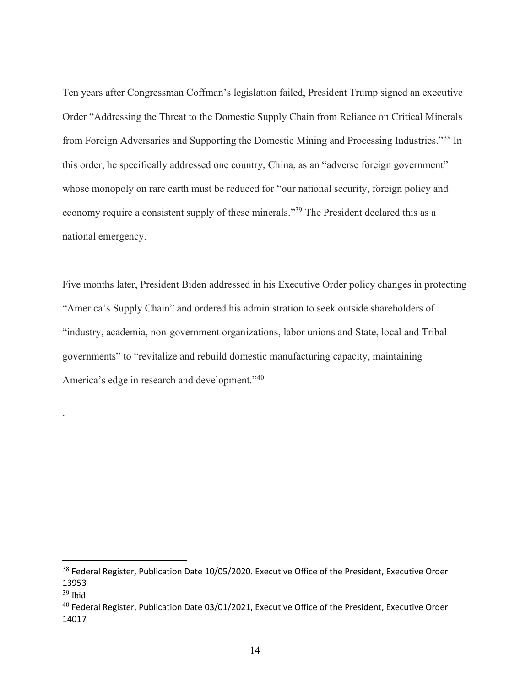Ten years after Congressman Coffman's legislation failed, President Trump signed an executive Order "Addressing the Threat to the Domestic Supply Chain from Reliance on Critical Minerals from Foreign Adversaries and Supporting the Domestic Mining and Processing Industries."<sup>38</sup> In this order, he specifically addressed one country, China, as an "adverse foreign government" whose monopoly on rare earth must be reduced for "our national security, foreign policy and economy require a consistent supply of these minerals."<sup>39</sup> The President declared this as a national emergency.

Five months later, President Biden addressed in his Executive Order policy changes in protecting "America's Supply Chain" and ordered his administration to seek outside shareholders of "industry, academia, non-government organizations, labor unions and State, local and Tribal governments" to "revitalize and rebuild domestic manufacturing capacity, maintaining America's edge in research and development."<sup>40</sup>

.

<sup>&</sup>lt;sup>38</sup> Federal Register, Publication Date 10/05/2020. Executive Office of the President, Executive Order 13953

 $39$  Ibid

 $^{40}$  Federal Register, Publication Date 03/01/2021, Executive Office of the President, Executive Order 14017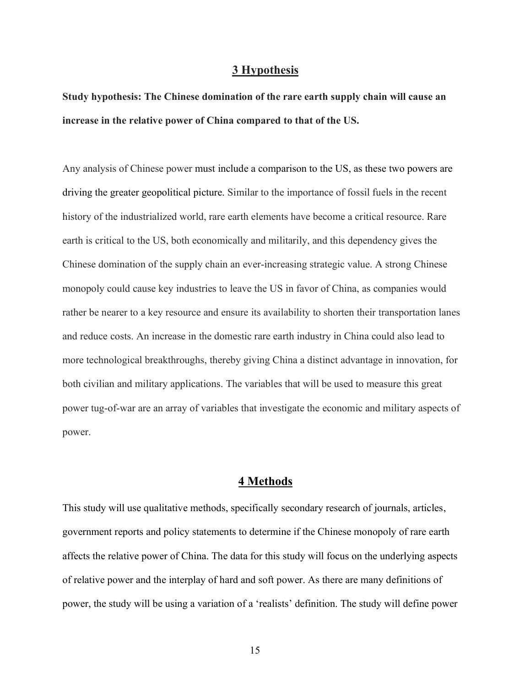# **3 Hypothesis**

**Study hypothesis: The Chinese domination of the rare earth supply chain will cause an increase in the relative power of China compared to that of the US.**

Any analysis of Chinese power must include a comparison to the US, as these two powers are driving the greater geopolitical picture. Similar to the importance of fossil fuels in the recent history of the industrialized world, rare earth elements have become a critical resource. Rare earth is critical to the US, both economically and militarily, and this dependency gives the Chinese domination of the supply chain an ever-increasing strategic value. A strong Chinese monopoly could cause key industries to leave the US in favor of China, as companies would rather be nearer to a key resource and ensure its availability to shorten their transportation lanes and reduce costs. An increase in the domestic rare earth industry in China could also lead to more technological breakthroughs, thereby giving China a distinct advantage in innovation, for both civilian and military applications. The variables that will be used to measure this great power tug-of-war are an array of variables that investigate the economic and military aspects of power.

# **4 Methods**

This study will use qualitative methods, specifically secondary research of journals, articles, government reports and policy statements to determine if the Chinese monopoly of rare earth affects the relative power of China. The data for this study will focus on the underlying aspects of relative power and the interplay of hard and soft power. As there are many definitions of power, the study will be using a variation of a 'realists' definition. The study will define power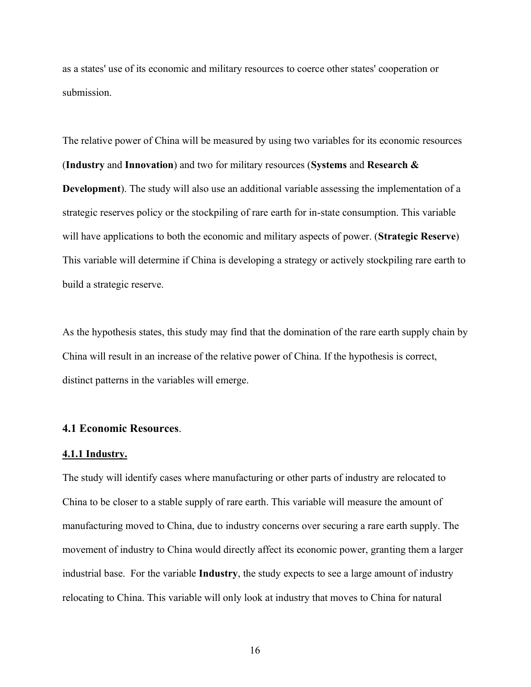as a states' use of its economic and military resources to coerce other states' cooperation or submission.

The relative power of China will be measured by using two variables for its economic resources (**Industry** and **Innovation**) and two for military resources (**Systems** and **Research & Development**). The study will also use an additional variable assessing the implementation of a strategic reserves policy or the stockpiling of rare earth for in-state consumption. This variable will have applications to both the economic and military aspects of power. (**Strategic Reserve**) This variable will determine if China is developing a strategy or actively stockpiling rare earth to build a strategic reserve.

As the hypothesis states, this study may find that the domination of the rare earth supply chain by China will result in an increase of the relative power of China. If the hypothesis is correct, distinct patterns in the variables will emerge.

# **4.1 Economic Resources**.

### **4.1.1 Industry.**

The study will identify cases where manufacturing or other parts of industry are relocated to China to be closer to a stable supply of rare earth. This variable will measure the amount of manufacturing moved to China, due to industry concerns over securing a rare earth supply. The movement of industry to China would directly affect its economic power, granting them a larger industrial base. For the variable **Industry**, the study expects to see a large amount of industry relocating to China. This variable will only look at industry that moves to China for natural

16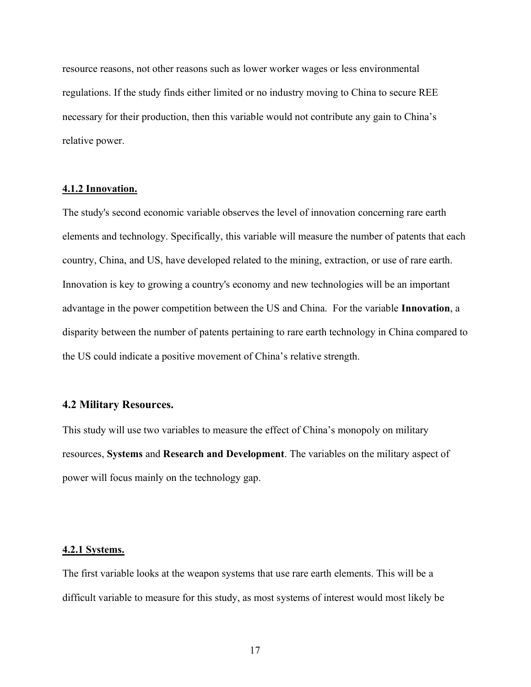resource reasons, not other reasons such as lower worker wages or less environmental regulations. If the study finds either limited or no industry moving to China to secure REE necessary for their production, then this variable would not contribute any gain to China's relative power.

# **4.1.2 Innovation.**

The study's second economic variable observes the level of innovation concerning rare earth elements and technology. Specifically, this variable will measure the number of patents that each country, China, and US, have developed related to the mining, extraction, or use of rare earth. Innovation is key to growing a country's economy and new technologies will be an important advantage in the power competition between the US and China. For the variable **Innovation**, a disparity between the number of patents pertaining to rare earth technology in China compared to the US could indicate a positive movement of China's relative strength.

# **4.2 Military Resources.**

This study will use two variables to measure the effect of China's monopoly on military resources, **Systems** and **Research and Development**. The variables on the military aspect of power will focus mainly on the technology gap.

#### **4.2.1 Systems.**

The first variable looks at the weapon systems that use rare earth elements. This will be a difficult variable to measure for this study, as most systems of interest would most likely be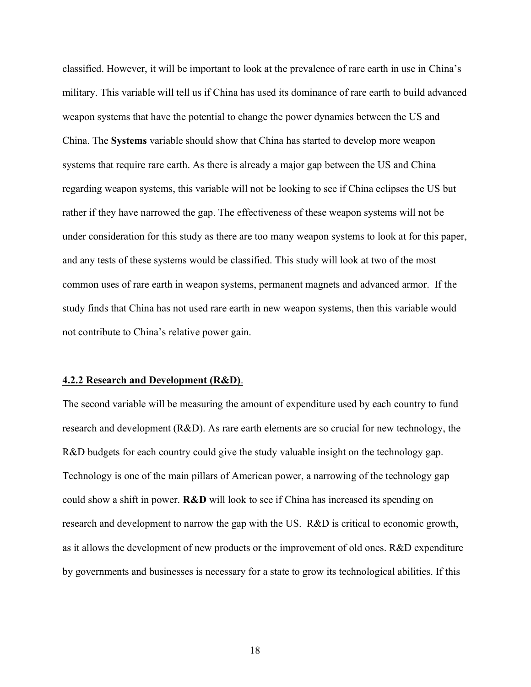classified. However, it will be important to look at the prevalence of rare earth in use in China's military. This variable will tell us if China has used its dominance of rare earth to build advanced weapon systems that have the potential to change the power dynamics between the US and China. The **Systems** variable should show that China has started to develop more weapon systems that require rare earth. As there is already a major gap between the US and China regarding weapon systems, this variable will not be looking to see if China eclipses the US but rather if they have narrowed the gap. The effectiveness of these weapon systems will not be under consideration for this study as there are too many weapon systems to look at for this paper, and any tests of these systems would be classified. This study will look at two of the most common uses of rare earth in weapon systems, permanent magnets and advanced armor. If the study finds that China has not used rare earth in new weapon systems, then this variable would not contribute to China's relative power gain.

#### **4.2.2 Research and Development (R&D)**.

The second variable will be measuring the amount of expenditure used by each country to fund research and development (R&D). As rare earth elements are so crucial for new technology, the R&D budgets for each country could give the study valuable insight on the technology gap. Technology is one of the main pillars of American power, a narrowing of the technology gap could show a shift in power. **R&D** will look to see if China has increased its spending on research and development to narrow the gap with the US. R&D is critical to economic growth, as it allows the development of new products or the improvement of old ones. R&D expenditure by governments and businesses is necessary for a state to grow its technological abilities. If this

18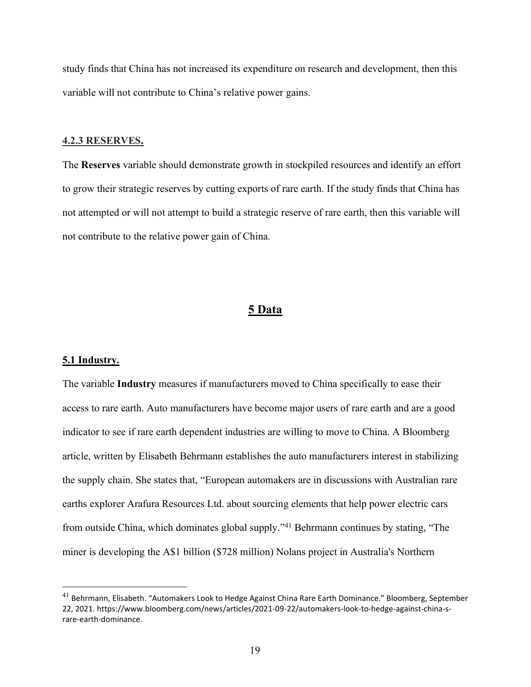study finds that China has not increased its expenditure on research and development, then this variable will not contribute to China's relative power gains.

#### **4.2.3 RESERVES.**

The **Reserves** variable should demonstrate growth in stockpiled resources and identify an effort to grow their strategic reserves by cutting exports of rare earth. If the study finds that China has not attempted or will not attempt to build a strategic reserve of rare earth, then this variable will not contribute to the relative power gain of China.

# **5 Data**

#### **5.1 Industry.**

The variable **Industry** measures if manufacturers moved to China specifically to ease their access to rare earth. Auto manufacturers have become major users of rare earth and are a good indicator to see if rare earth dependent industries are willing to move to China. A Bloomberg article, written by Elisabeth Behrmann establishes the auto manufacturers interest in stabilizing the supply chain. She states that, "European automakers are in discussions with Australian rare earths explorer Arafura Resources Ltd. about sourcing elements that help power electric cars from outside China, which dominates global supply."<sup>41</sup> Behrmann continues by stating, "The miner is developing the A\$1 billion (\$728 million) Nolans project in Australia's Northern

<sup>&</sup>lt;sup>41</sup> Behrmann, Elisabeth. "Automakers Look to Hedge Against China Rare Earth Dominance." Bloomberg, September 22, 2021. https://www.bloomberg.com/news/articles/2021-09-22/automakers-look-to-hedge-against-china-srare-earth-dominance.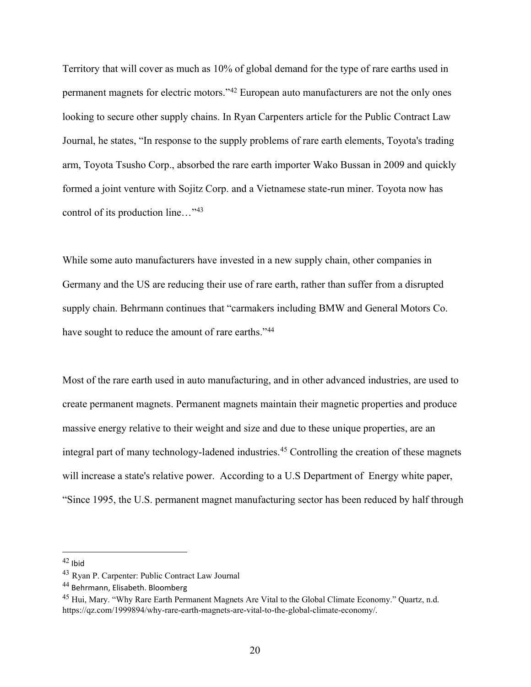Territory that will cover as much as 10% of global demand for the type of rare earths used in permanent magnets for electric motors."<sup>42</sup> European auto manufacturers are not the only ones looking to secure other supply chains. In Ryan Carpenters article for the Public Contract Law Journal, he states, "In response to the supply problems of rare earth elements, Toyota's trading arm, Toyota Tsusho Corp., absorbed the rare earth importer Wako Bussan in 2009 and quickly formed a joint venture with Sojitz Corp. and a Vietnamese state-run miner. Toyota now has control of its production line…"<sup>43</sup>

While some auto manufacturers have invested in a new supply chain, other companies in Germany and the US are reducing their use of rare earth, rather than suffer from a disrupted supply chain. Behrmann continues that "carmakers including BMW and General Motors Co. have sought to reduce the amount of rare earths."<sup>44</sup>

Most of the rare earth used in auto manufacturing, and in other advanced industries, are used to create permanent magnets. Permanent magnets maintain their magnetic properties and produce massive energy relative to their weight and size and due to these unique properties, are an integral part of many technology-ladened industries.<sup>45</sup> Controlling the creation of these magnets will increase a state's relative power. According to a U.S Department of Energy white paper, "Since 1995, the U.S. permanent magnet manufacturing sector has been reduced by half through

 $42$  Ibid

<sup>43</sup> Ryan P. Carpenter: Public Contract Law Journal

<sup>44</sup> Behrmann, Elisabeth. Bloomberg

<sup>45</sup> Hui, Mary. "Why Rare Earth Permanent Magnets Are Vital to the Global Climate Economy." Quartz, n.d. https://qz.com/1999894/why-rare-earth-magnets-are-vital-to-the-global-climate-economy/.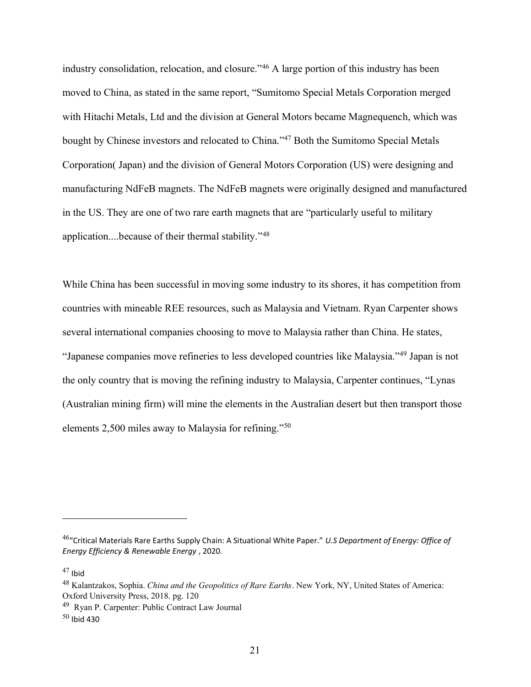industry consolidation, relocation, and closure."<sup>46</sup> A large portion of this industry has been moved to China, as stated in the same report, "Sumitomo Special Metals Corporation merged with Hitachi Metals, Ltd and the division at General Motors became Magnequench, which was bought by Chinese investors and relocated to China."<sup>47</sup> Both the Sumitomo Special Metals Corporation( Japan) and the division of General Motors Corporation (US) were designing and manufacturing NdFeB magnets. The NdFeB magnets were originally designed and manufactured in the US. They are one of two rare earth magnets that are "particularly useful to military application....because of their thermal stability."<sup>48</sup>

While China has been successful in moving some industry to its shores, it has competition from countries with mineable REE resources, such as Malaysia and Vietnam. Ryan Carpenter shows several international companies choosing to move to Malaysia rather than China. He states, "Japanese companies move refineries to less developed countries like Malaysia."<sup>49</sup> Japan is not the only country that is moving the refining industry to Malaysia, Carpenter continues, "Lynas (Australian mining firm) will mine the elements in the Australian desert but then transport those elements 2,500 miles away to Malaysia for refining."<sup>50</sup>

<sup>46</sup>"Critical Materials Rare Earths Supply Chain: A Situational White Paper." *U.S Department of Energy: Office of Energy Efficiency & Renewable Energy* , 2020.

 $47$  Ibid

<sup>48</sup> Kalantzakos, Sophia. *China and the Geopolitics of Rare Earths*. New York, NY, United States of America: Oxford University Press, 2018. pg. 120

<sup>49</sup> Ryan P. Carpenter: Public Contract Law Journal

 $50$  Ibid 430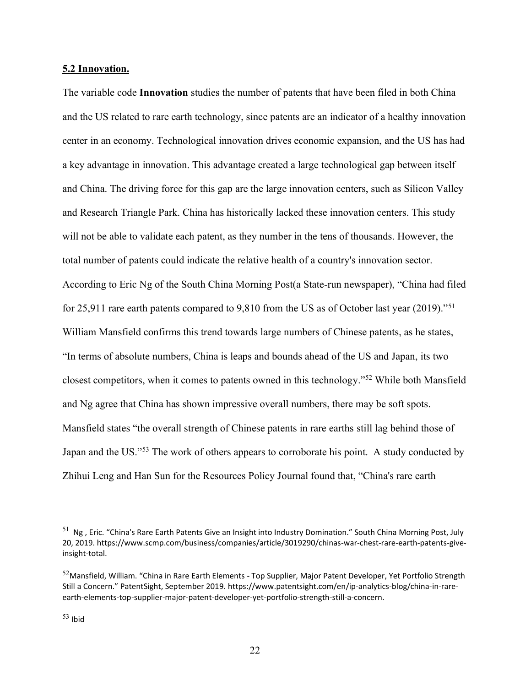## **5.2 Innovation.**

The variable code **Innovation** studies the number of patents that have been filed in both China and the US related to rare earth technology, since patents are an indicator of a healthy innovation center in an economy. Technological innovation drives economic expansion, and the US has had a key advantage in innovation. This advantage created a large technological gap between itself and China. The driving force for this gap are the large innovation centers, such as Silicon Valley and Research Triangle Park. China has historically lacked these innovation centers. This study will not be able to validate each patent, as they number in the tens of thousands. However, the total number of patents could indicate the relative health of a country's innovation sector. According to Eric Ng of the South China Morning Post(a State-run newspaper), "China had filed for 25,911 rare earth patents compared to 9,810 from the US as of October last year (2019)."<sup>51</sup> William Mansfield confirms this trend towards large numbers of Chinese patents, as he states, "In terms of absolute numbers, China is leaps and bounds ahead of the US and Japan, its two closest competitors, when it comes to patents owned in this technology."<sup>52</sup> While both Mansfield and Ng agree that China has shown impressive overall numbers, there may be soft spots. Mansfield states "the overall strength of Chinese patents in rare earths still lag behind those of Japan and the US."<sup>53</sup> The work of others appears to corroborate his point. A study conducted by Zhihui Leng and Han Sun for the Resources Policy Journal found that, "China's rare earth

 $51$  Ng, Eric. "China's Rare Earth Patents Give an Insight into Industry Domination." South China Morning Post, July 20, 2019. https://www.scmp.com/business/companies/article/3019290/chinas-war-chest-rare-earth-patents-giveinsight-total.

<sup>52</sup>Mansfield, William. "China in Rare Earth Elements - Top Supplier, Major Patent Developer, Yet Portfolio Strength Still a Concern." PatentSight, September 2019. https://www.patentsight.com/en/ip-analytics-blog/china-in-rareearth-elements-top-supplier-major-patent-developer-yet-portfolio-strength-still-a-concern.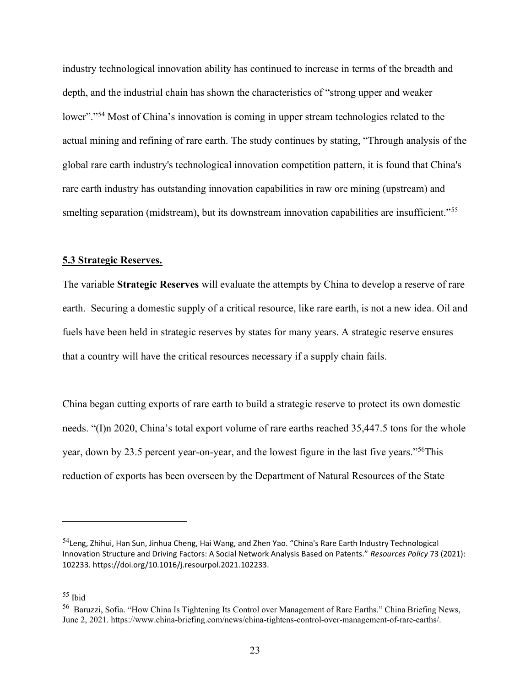industry technological innovation ability has continued to increase in terms of the breadth and depth, and the industrial chain has shown the characteristics of "strong upper and weaker lower"."<sup>54</sup> Most of China's innovation is coming in upper stream technologies related to the actual mining and refining of rare earth. The study continues by stating, "Through analysis of the global rare earth industry's technological innovation competition pattern, it is found that China's rare earth industry has outstanding innovation capabilities in raw ore mining (upstream) and smelting separation (midstream), but its downstream innovation capabilities are insufficient."<sup>55</sup>

### **5.3 Strategic Reserves.**

The variable **Strategic Reserves** will evaluate the attempts by China to develop a reserve of rare earth. Securing a domestic supply of a critical resource, like rare earth, is not a new idea. Oil and fuels have been held in strategic reserves by states for many years. A strategic reserve ensures that a country will have the critical resources necessary if a supply chain fails.

China began cutting exports of rare earth to build a strategic reserve to protect its own domestic needs. "(I)n 2020, China's total export volume of rare earths reached 35,447.5 tons for the whole year, [down by 23.5 percent year-on-year,](https://www.globaltimes.cn/page/202101/1212796.shtml) and the lowest figure in the last five years."<sup>56</sup>This reduction of exports has been overseen by the Department of Natural Resources of the State

<sup>54</sup>Leng, Zhihui, Han Sun, Jinhua Cheng, Hai Wang, and Zhen Yao. "China's Rare Earth Industry Technological Innovation Structure and Driving Factors: A Social Network Analysis Based on Patents." *Resources Policy* 73 (2021): 102233. https://doi.org/10.1016/j.resourpol.2021.102233.

<sup>55</sup> Ibid

<sup>56</sup> Baruzzi, Sofia. "How China Is Tightening Its Control over Management of Rare Earths." China Briefing News, June 2, 2021. https://www.china-briefing.com/news/china-tightens-control-over-management-of-rare-earths/.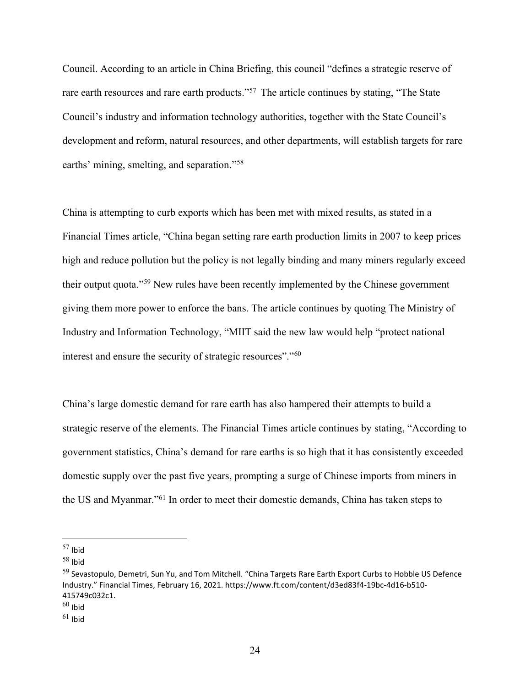Council. According to an article in China Briefing, this council "defines a strategic reserve of rare earth resources and rare earth products."<sup>57</sup> The article continues by stating, "The State Council's industry and information technology authorities, together with the State Council's development and reform, natural resources, and other departments, will establish targets for rare earths' mining, smelting, and separation."<sup>58</sup>

China is attempting to curb exports which has been met with mixed results, as stated in a Financial Times article, "China began setting rare earth production limits in 2007 to keep prices high and reduce pollution but the policy is not legally binding and many miners regularly exceed their output quota."<sup>59</sup> New rules have been recently implemented by the Chinese government giving them more power to enforce the bans. The article continues by quoting The Ministry of Industry and Information Technology, "MIIT said the new law would help "protect national interest and ensure the security of strategic resources"."<sup>60</sup>

China's large domestic demand for rare earth has also hampered their attempts to build a strategic reserve of the elements. The Financial Times article continues by stating, "According to government statistics, China's demand for rare earths is so high that it has consistently exceeded domestic supply over the past five years, prompting a surge of Chinese imports from miners in the US and Myanmar."<sup>61</sup> In order to meet their domestic demands, China has taken steps to

 $57$  Ibid

 $58$  Ibid

<sup>&</sup>lt;sup>59</sup> Sevastopulo, Demetri, Sun Yu, and Tom Mitchell. "China Targets Rare Earth Export Curbs to Hobble US Defence Industry." Financial Times, February 16, 2021. https://www.ft.com/content/d3ed83f4-19bc-4d16-b510- 415749c032c1.

 $60$  Ibid

 $61$  Ibid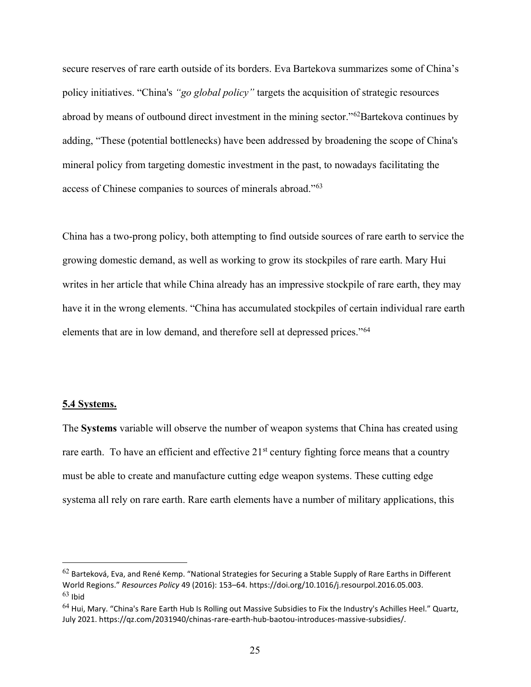secure reserves of rare earth outside of its borders. Eva Bartekova summarizes some of China's policy initiatives. "China's *"go global policy"* targets the acquisition of strategic resources abroad by means of outbound direct investment in the mining sector."<sup>62</sup>Bartekova continues by adding, "These (potential bottlenecks) have been addressed by broadening the scope of China's mineral policy from targeting domestic investment in the past, to nowadays facilitating the access of Chinese companies to sources of minerals abroad."<sup>63</sup>

China has a two-prong policy, both attempting to find outside sources of rare earth to service the growing domestic demand, as well as working to grow its stockpiles of rare earth. Mary Hui writes in her article that while China already has an impressive stockpile of rare earth, they may have it in the wrong elements. "China has accumulated stockpiles of certain individual rare earth elements that are in low demand, and therefore sell at depressed prices."<sup>64</sup>

#### **5.4 Systems.**

The **Systems** variable will observe the number of weapon systems that China has created using rare earth. To have an efficient and effective  $21<sup>st</sup>$  century fighting force means that a country must be able to create and manufacture cutting edge weapon systems. These cutting edge systema all rely on rare earth. Rare earth elements have a number of military applications, this

 $62$  Barteková, Eva, and René Kemp. "National Strategies for Securing a Stable Supply of Rare Earths in Different World Regions." *Resources Policy* 49 (2016): 153–64. https://doi.org/10.1016/j.resourpol.2016.05.003.  $63$  Ibid

 $^{64}$  Hui, Mary. "China's Rare Earth Hub Is Rolling out Massive Subsidies to Fix the Industry's Achilles Heel." Quartz, July 2021. https://qz.com/2031940/chinas-rare-earth-hub-baotou-introduces-massive-subsidies/.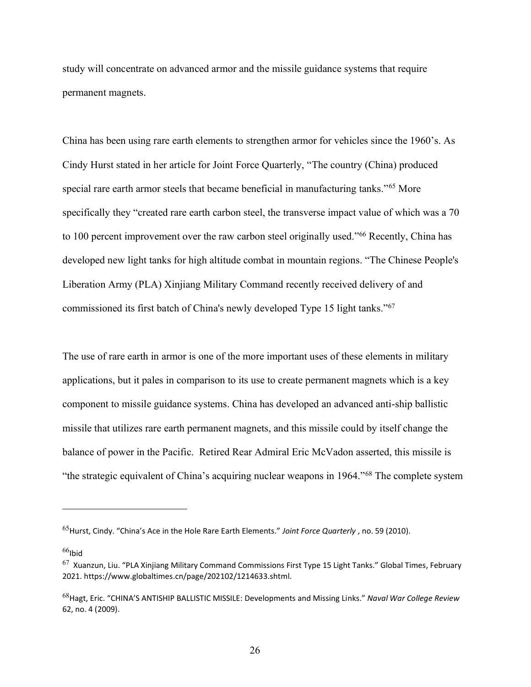study will concentrate on advanced armor and the missile guidance systems that require permanent magnets.

China has been using rare earth elements to strengthen armor for vehicles since the 1960's. As Cindy Hurst stated in her article for Joint Force Quarterly, "The country (China) produced special rare earth armor steels that became beneficial in manufacturing tanks."<sup>65</sup> More specifically they "created rare earth carbon steel, the transverse impact value of which was a 70 to 100 percent improvement over the raw carbon steel originally used."<sup>66</sup> Recently, China has developed new light tanks for high altitude combat in mountain regions. "The Chinese People's Liberation Army (PLA) Xinjiang Military Command recently received delivery of and commissioned its first batch of China's newly developed Type 15 light tanks."<sup>67</sup>

The use of rare earth in armor is one of the more important uses of these elements in military applications, but it pales in comparison to its use to create permanent magnets which is a key component to missile guidance systems. China has developed an advanced anti-ship ballistic missile that utilizes rare earth permanent magnets, and this missile could by itself change the balance of power in the Pacific. Retired Rear Admiral Eric McVadon asserted, this missile is "the strategic equivalent of China's acquiring nuclear weapons in 1964."<sup>68</sup> The complete system

 $66$ Ibid

<sup>65</sup>Hurst, Cindy. "China's Ace in the Hole Rare Earth Elements." *Joint Force Quarterly* , no. 59 (2010).

 $67$  Xuanzun, Liu. "PLA Xinjiang Military Command Commissions First Type 15 Light Tanks." Global Times, February 2021. https://www.globaltimes.cn/page/202102/1214633.shtml.

<sup>68</sup>Hagt, Eric. "CHINA'S ANTISHIP BALLISTIC MISSILE: Developments and Missing Links." *Naval War College Review* 62, no. 4 (2009).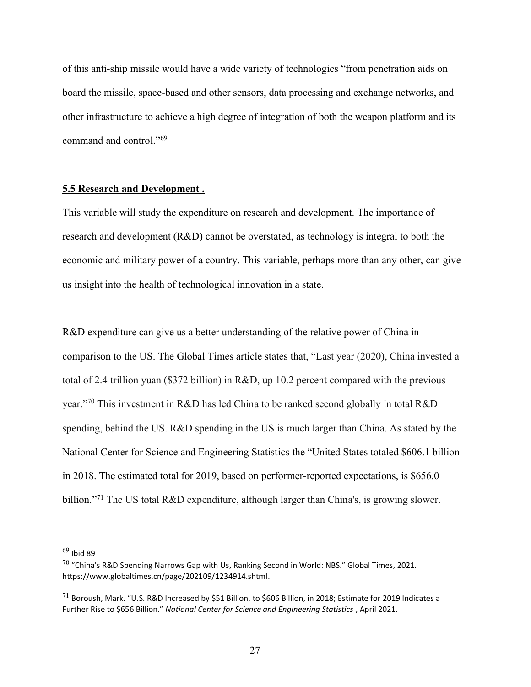of this anti-ship missile would have a wide variety of technologies "from penetration aids on board the missile, space-based and other sensors, data processing and exchange networks, and other infrastructure to achieve a high degree of integration of both the weapon platform and its command and control."<sup>69</sup>

## **5.5 Research and Development .**

This variable will study the expenditure on research and development. The importance of research and development (R&D) cannot be overstated, as technology is integral to both the economic and military power of a country. This variable, perhaps more than any other, can give us insight into the health of technological innovation in a state.

R&D expenditure can give us a better understanding of the relative power of China in comparison to the US. The Global Times article states that, "Last year (2020), China invested a total of 2.4 trillion yuan (\$372 billion) in R&D, up 10.2 percent compared with the previous year."<sup>70</sup> This investment in R&D has led China to be ranked second globally in total R&D spending, behind the US. R&D spending in the US is much larger than China. As stated by the National Center for Science and Engineering Statistics the "United States totaled \$606.1 billion in 2018. The estimated total for 2019, based on performer-reported expectations, is \$656.0 billion."<sup>71</sup> The US total R&D expenditure, although larger than China's, is growing slower.

 $69$  Ibid 89

 $70$  "China's R&D Spending Narrows Gap with Us, Ranking Second in World: NBS." Global Times, 2021. https://www.globaltimes.cn/page/202109/1234914.shtml.

 $^{71}$  Boroush, Mark. "U.S. R&D Increased by \$51 Billion, to \$606 Billion, in 2018; Estimate for 2019 Indicates a Further Rise to \$656 Billion." *National Center for Science and Engineering Statistics*, April 2021.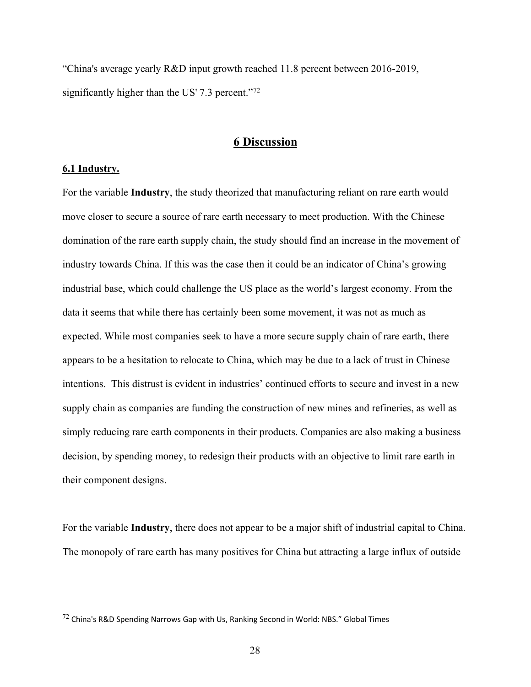"China's average yearly R&D input growth reached 11.8 percent between 2016-2019, significantly higher than the US' 7.3 percent."<sup>72</sup>

# **6 Discussion**

#### **6.1 Industry.**

For the variable **Industry**, the study theorized that manufacturing reliant on rare earth would move closer to secure a source of rare earth necessary to meet production. With the Chinese domination of the rare earth supply chain, the study should find an increase in the movement of industry towards China. If this was the case then it could be an indicator of China's growing industrial base, which could challenge the US place as the world's largest economy. From the data it seems that while there has certainly been some movement, it was not as much as expected. While most companies seek to have a more secure supply chain of rare earth, there appears to be a hesitation to relocate to China, which may be due to a lack of trust in Chinese intentions. This distrust is evident in industries' continued efforts to secure and invest in a new supply chain as companies are funding the construction of new mines and refineries, as well as simply reducing rare earth components in their products. Companies are also making a business decision, by spending money, to redesign their products with an objective to limit rare earth in their component designs.

For the variable **Industry**, there does not appear to be a major shift of industrial capital to China. The monopoly of rare earth has many positives for China but attracting a large influx of outside

 $72$  China's R&D Spending Narrows Gap with Us, Ranking Second in World: NBS." Global Times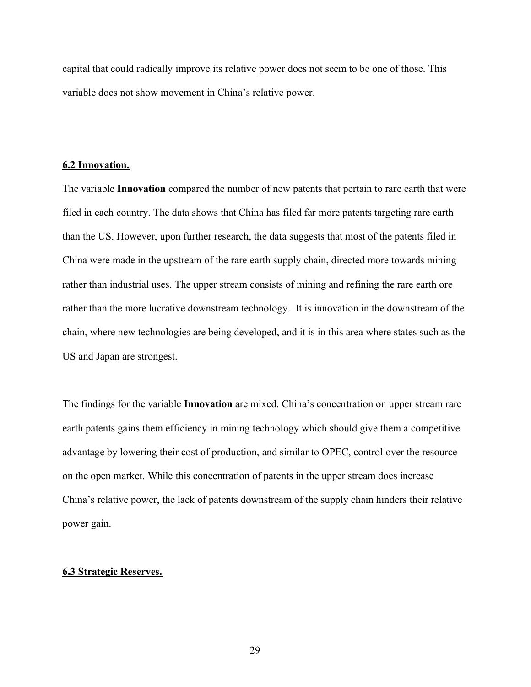capital that could radically improve its relative power does not seem to be one of those. This variable does not show movement in China's relative power.

#### **6.2 Innovation.**

The variable **Innovation** compared the number of new patents that pertain to rare earth that were filed in each country. The data shows that China has filed far more patents targeting rare earth than the US. However, upon further research, the data suggests that most of the patents filed in China were made in the upstream of the rare earth supply chain, directed more towards mining rather than industrial uses. The upper stream consists of mining and refining the rare earth ore rather than the more lucrative downstream technology. It is innovation in the downstream of the chain, where new technologies are being developed, and it is in this area where states such as the US and Japan are strongest.

The findings for the variable **Innovation** are mixed. China's concentration on upper stream rare earth patents gains them efficiency in mining technology which should give them a competitive advantage by lowering their cost of production, and similar to OPEC, control over the resource on the open market. While this concentration of patents in the upper stream does increase China's relative power, the lack of patents downstream of the supply chain hinders their relative power gain.

#### **6.3 Strategic Reserves.**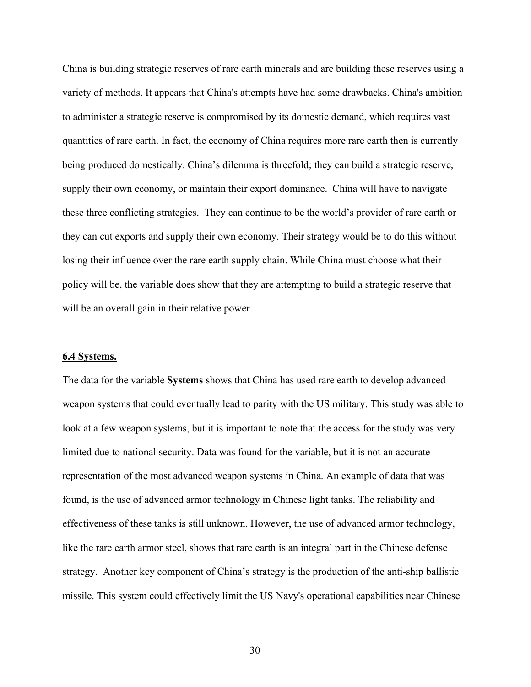China is building strategic reserves of rare earth minerals and are building these reserves using a variety of methods. It appears that China's attempts have had some drawbacks. China's ambition to administer a strategic reserve is compromised by its domestic demand, which requires vast quantities of rare earth. In fact, the economy of China requires more rare earth then is currently being produced domestically. China's dilemma is threefold; they can build a strategic reserve, supply their own economy, or maintain their export dominance. China will have to navigate these three conflicting strategies. They can continue to be the world's provider of rare earth or they can cut exports and supply their own economy. Their strategy would be to do this without losing their influence over the rare earth supply chain. While China must choose what their policy will be, the variable does show that they are attempting to build a strategic reserve that will be an overall gain in their relative power.

#### **6.4 Systems.**

The data for the variable **Systems** shows that China has used rare earth to develop advanced weapon systems that could eventually lead to parity with the US military. This study was able to look at a few weapon systems, but it is important to note that the access for the study was very limited due to national security. Data was found for the variable, but it is not an accurate representation of the most advanced weapon systems in China. An example of data that was found, is the use of advanced armor technology in Chinese light tanks. The reliability and effectiveness of these tanks is still unknown. However, the use of advanced armor technology, like the rare earth armor steel, shows that rare earth is an integral part in the Chinese defense strategy. Another key component of China's strategy is the production of the anti-ship ballistic missile. This system could effectively limit the US Navy's operational capabilities near Chinese

30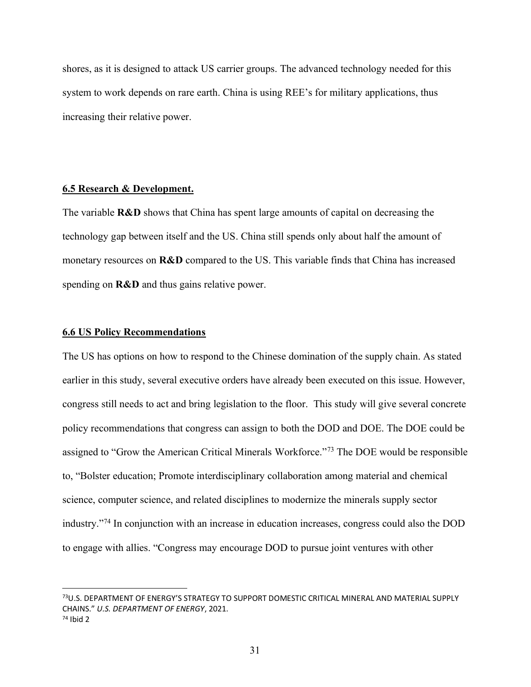shores, as it is designed to attack US carrier groups. The advanced technology needed for this system to work depends on rare earth. China is using REE's for military applications, thus increasing their relative power.

### **6.5 Research & Development.**

The variable **R&D** shows that China has spent large amounts of capital on decreasing the technology gap between itself and the US. China still spends only about half the amount of monetary resources on **R&D** compared to the US. This variable finds that China has increased spending on **R&D** and thus gains relative power.

#### **6.6 US Policy Recommendations**

The US has options on how to respond to the Chinese domination of the supply chain. As stated earlier in this study, several executive orders have already been executed on this issue. However, congress still needs to act and bring legislation to the floor. This study will give several concrete policy recommendations that congress can assign to both the DOD and DOE. The DOE could be assigned to "Grow the American Critical Minerals Workforce."<sup>73</sup> The DOE would be responsible to, "Bolster education; Promote interdisciplinary collaboration among material and chemical science, computer science, and related disciplines to modernize the minerals supply sector industry."<sup>74</sup> In conjunction with an increase in education increases, congress could also the DOD to engage with allies. "Congress may encourage DOD to pursue joint ventures with other

<sup>73</sup>U.S. DEPARTMENT OF ENERGY'S STRATEGY TO SUPPORT DOMESTIC CRITICAL MINERAL AND MATERIAL SUPPLY CHAINS." *U.S. DEPARTMENT OF ENERGY*, 2021. <sup>74</sup> Ibid 2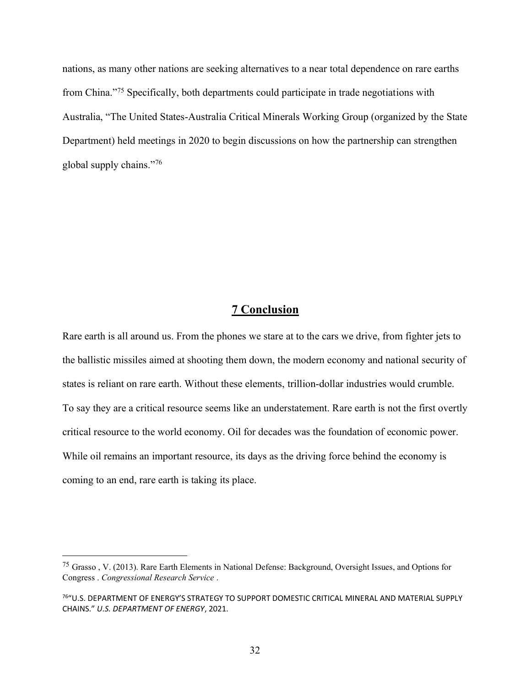nations, as many other nations are seeking alternatives to a near total dependence on rare earths from China."<sup>75</sup> Specifically, both departments could participate in trade negotiations with Australia, "The United States-Australia Critical Minerals Working Group (organized by the State Department) held meetings in 2020 to begin discussions on how the partnership can strengthen global supply chains."<sup>76</sup>

# **7 Conclusion**

Rare earth is all around us. From the phones we stare at to the cars we drive, from fighter jets to the ballistic missiles aimed at shooting them down, the modern economy and national security of states is reliant on rare earth. Without these elements, trillion-dollar industries would crumble. To say they are a critical resource seems like an understatement. Rare earth is not the first overtly critical resource to the world economy. Oil for decades was the foundation of economic power. While oil remains an important resource, its days as the driving force behind the economy is coming to an end, rare earth is taking its place.

<sup>75</sup> Grasso , V. (2013). Rare Earth Elements in National Defense: Background, Oversight Issues, and Options for Congress . *Congressional Research Service* .

<sup>76</sup>"U.S. DEPARTMENT OF ENERGY'S STRATEGY TO SUPPORT DOMESTIC CRITICAL MINERAL AND MATERIAL SUPPLY CHAINS." *U.S. DEPARTMENT OF ENERGY*, 2021.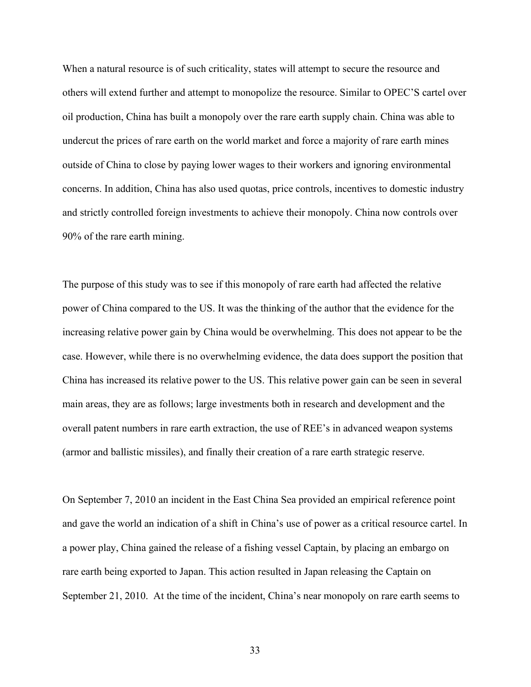When a natural resource is of such criticality, states will attempt to secure the resource and others will extend further and attempt to monopolize the resource. Similar to OPEC'S cartel over oil production, China has built a monopoly over the rare earth supply chain. China was able to undercut the prices of rare earth on the world market and force a majority of rare earth mines outside of China to close by paying lower wages to their workers and ignoring environmental concerns. In addition, China has also used quotas, price controls, incentives to domestic industry and strictly controlled foreign investments to achieve their monopoly. China now controls over 90% of the rare earth mining.

The purpose of this study was to see if this monopoly of rare earth had affected the relative power of China compared to the US. It was the thinking of the author that the evidence for the increasing relative power gain by China would be overwhelming. This does not appear to be the case. However, while there is no overwhelming evidence, the data does support the position that China has increased its relative power to the US. This relative power gain can be seen in several main areas, they are as follows; large investments both in research and development and the overall patent numbers in rare earth extraction, the use of REE's in advanced weapon systems (armor and ballistic missiles), and finally their creation of a rare earth strategic reserve.

On September 7, 2010 an incident in the East China Sea provided an empirical reference point and gave the world an indication of a shift in China's use of power as a critical resource cartel. In a power play, China gained the release of a fishing vessel Captain, by placing an embargo on rare earth being exported to Japan. This action resulted in Japan releasing the Captain on September 21, 2010. At the time of the incident, China's near monopoly on rare earth seems to

33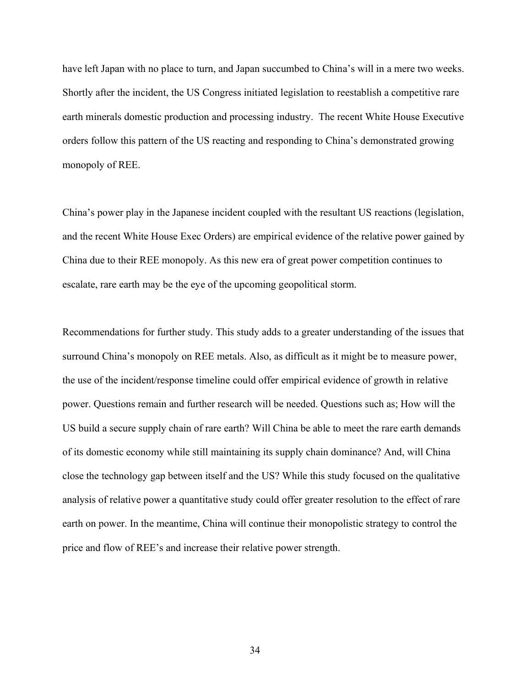have left Japan with no place to turn, and Japan succumbed to China's will in a mere two weeks. Shortly after the incident, the US Congress initiated legislation to reestablish a competitive rare earth minerals domestic production and processing industry. The recent White House Executive orders follow this pattern of the US reacting and responding to China's demonstrated growing monopoly of REE.

China's power play in the Japanese incident coupled with the resultant US reactions (legislation, and the recent White House Exec Orders) are empirical evidence of the relative power gained by China due to their REE monopoly. As this new era of great power competition continues to escalate, rare earth may be the eye of the upcoming geopolitical storm.

Recommendations for further study. This study adds to a greater understanding of the issues that surround China's monopoly on REE metals. Also, as difficult as it might be to measure power, the use of the incident/response timeline could offer empirical evidence of growth in relative power. Questions remain and further research will be needed. Questions such as; How will the US build a secure supply chain of rare earth? Will China be able to meet the rare earth demands of its domestic economy while still maintaining its supply chain dominance? And, will China close the technology gap between itself and the US? While this study focused on the qualitative analysis of relative power a quantitative study could offer greater resolution to the effect of rare earth on power. In the meantime, China will continue their monopolistic strategy to control the price and flow of REE's and increase their relative power strength.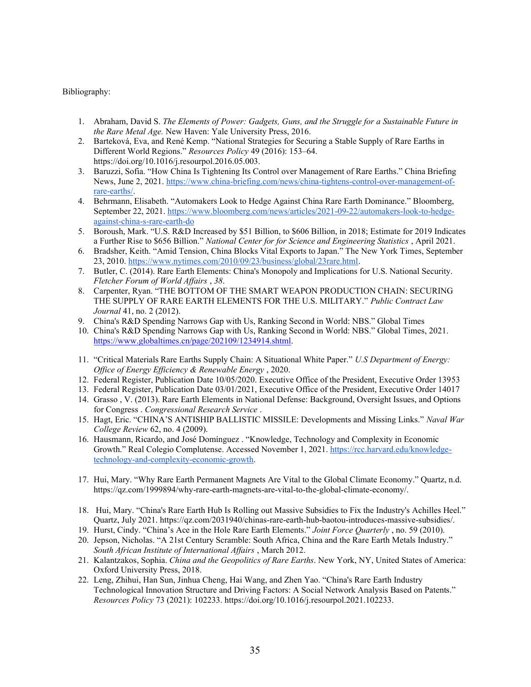#### Bibliography:

- 1. Abraham, David S. *The Elements of Power: Gadgets, Guns, and the Struggle for a Sustainable Future in the Rare Metal Age.* New Haven: Yale University Press, 2016.
- 2. Barteková, Eva, and René Kemp. "National Strategies for Securing a Stable Supply of Rare Earths in Different World Regions." *Resources Policy* 49 (2016): 153–64. https://doi.org/10.1016/j.resourpol.2016.05.003.
- 3. Baruzzi, Sofia. "How China Is Tightening Its Control over Management of Rare Earths." China Briefing News, June 2, 2021[. https://www.china-briefing.com/news/china-tightens-control-over-management-of](https://www.china-briefing.com/news/china-tightens-control-over-management-of-rare-earths/)[rare-earths/.](https://www.china-briefing.com/news/china-tightens-control-over-management-of-rare-earths/)
- 4. Behrmann, Elisabeth. "Automakers Look to Hedge Against China Rare Earth Dominance." Bloomberg, September 22, 2021. [https://www.bloomberg.com/news/articles/2021-09-22/automakers-look-to-hedge](https://www.bloomberg.com/news/articles/2021-09-22/automakers-look-to-hedge-against-china-s-rare-earth-do)[against-china-s-rare-earth-do](https://www.bloomberg.com/news/articles/2021-09-22/automakers-look-to-hedge-against-china-s-rare-earth-do)
- 5. Boroush, Mark. "U.S. R&D Increased by \$51 Billion, to \$606 Billion, in 2018; Estimate for 2019 Indicates a Further Rise to \$656 Billion." *National Center for for Science and Engineering Statistics* , April 2021.
- 6. Bradsher, Keith. "Amid Tension, China Blocks Vital Exports to Japan." The New York Times, September 23, 2010. [https://www.nytimes.com/2010/09/23/business/global/23rare.html.](https://www.nytimes.com/2010/09/23/business/global/23rare.html)
- 7. Butler, C. (2014). Rare Earth Elements: China's Monopoly and Implications for U.S. National Security. *Fletcher Forum of World Affairs* , *38*.
- 8. Carpenter, Ryan. "THE BOTTOM OF THE SMART WEAPON PRODUCTION CHAIN: SECURING THE SUPPLY OF RARE EARTH ELEMENTS FOR THE U.S. MILITARY." *Public Contract Law Journal* 41, no. 2 (2012).
- 9. China's R&D Spending Narrows Gap with Us, Ranking Second in World: NBS." Global Times
- 10. China's R&D Spending Narrows Gap with Us, Ranking Second in World: NBS." Global Times, 2021[.](https://www.globaltimes.cn/page/202109/1234914.shtml) [https://www.globaltimes.cn/page/202109/1234914.shtml.](https://www.globaltimes.cn/page/202109/1234914.shtml)
- 11. "Critical Materials Rare Earths Supply Chain: A Situational White Paper." *U.S Department of Energy: Office of Energy Efficiency & Renewable Energy* , 2020.
- 12. Federal Register, Publication Date 10/05/2020. Executive Office of the President, Executive Order 13953
- 13. Federal Register, Publication Date 03/01/2021, Executive Office of the President, Executive Order 14017
- 14. Grasso , V. (2013). Rare Earth Elements in National Defense: Background, Oversight Issues, and Options for Congress . *Congressional Research Service* .
- 15. Hagt, Eric. "CHINA'S ANTISHIP BALLISTIC MISSILE: Developments and Missing Links." *Naval War College Review* 62, no. 4 (2009).
- 16. Hausmann, Ricardo, and José Domínguez . "Knowledge, Technology and Complexity in Economic Growth." Real Colegio Complutense. Accessed November 1, 2021[. https://rcc.harvard.edu/knowledge](https://rcc.harvard.edu/knowledge-technology-and-complexity-economic-growth)[technology-and-complexity-economic-growth.](https://rcc.harvard.edu/knowledge-technology-and-complexity-economic-growth)
- 17. Hui, Mary. "Why Rare Earth Permanent Magnets Are Vital to the Global Climate Economy." Quartz, n.d. https://qz.com/1999894/why-rare-earth-magnets-are-vital-to-the-global-climate-economy/.
- 18. Hui, Mary. "China's Rare Earth Hub Is Rolling out Massive Subsidies to Fix the Industry's Achilles Heel." Quartz, July 2021. https://qz.com/2031940/chinas-rare-earth-hub-baotou-introduces-massive-subsidies/.
- 19. Hurst, Cindy. "China's Ace in the Hole Rare Earth Elements." *Joint Force Quarterly* , no. 59 (2010).
- 20. Jepson, Nicholas. "A 21st Century Scramble: South Africa, China and the Rare Earth Metals Industry." *South African Institute of International Affairs* , March 2012.
- 21. Kalantzakos, Sophia. *China and the Geopolitics of Rare Earths*. New York, NY, United States of America: Oxford University Press, 2018.
- 22. Leng, Zhihui, Han Sun, Jinhua Cheng, Hai Wang, and Zhen Yao. "China's Rare Earth Industry Technological Innovation Structure and Driving Factors: A Social Network Analysis Based on Patents." *Resources Policy* 73 (2021): 102233. https://doi.org/10.1016/j.resourpol.2021.102233.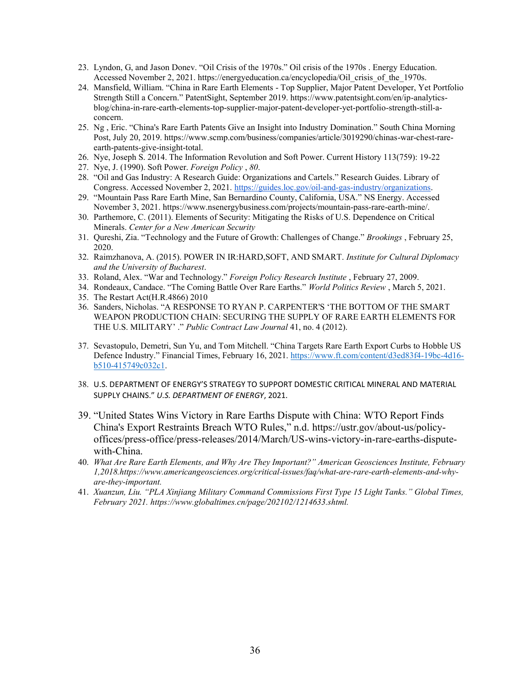- 23. Lyndon, G, and Jason Donev. "Oil Crisis of the 1970s." Oil crisis of the 1970s . Energy Education. Accessed November 2, 2021. https://energyeducation.ca/encyclopedia/Oil\_crisis\_of\_the\_1970s.
- 24. Mansfield, William. "China in Rare Earth Elements Top Supplier, Major Patent Developer, Yet Portfolio Strength Still a Concern." PatentSight, September 2019. https://www.patentsight.com/en/ip-analyticsblog/china-in-rare-earth-elements-top-supplier-major-patent-developer-yet-portfolio-strength-still-aconcern.
- 25. Ng , Eric. "China's Rare Earth Patents Give an Insight into Industry Domination." South China Morning Post, July 20, 2019. https://www.scmp.com/business/companies/article/3019290/chinas-war-chest-rareearth-patents-give-insight-total.
- 26. Nye, Joseph S. 2014. The Information Revolution and Soft Power. Current History 113(759): 19-22
- 27. Nye, J. (1990). Soft Power. *Foreign Policy* , *80*.
- 28. "Oil and Gas Industry: A Research Guide: Organizations and Cartels." Research Guides. Library of Congress. Accessed November 2, 2021. [https://guides.loc.gov/oil-and-gas-industry/organizations.](https://guides.loc.gov/oil-and-gas-industry/organizations)
- 29. "Mountain Pass Rare Earth Mine, San Bernardino County, California, USA." NS Energy. Accessed November 3, 2021. https://www.nsenergybusiness.com/projects/mountain-pass-rare-earth-mine/.
- 30. Parthemore, C. (2011). Elements of Security: Mitigating the Risks of U.S. Dependence on Critical Minerals. *Center for a New American Security*
- 31. Qureshi, Zia. "Technology and the Future of Growth: Challenges of Change." *Brookings* , February 25, 2020.
- 32. Raimzhanova, A. (2015). POWER IN IR:HARD,SOFT, AND SMART. *Institute for Cultural Diplomacy and the University of Bucharest*.
- 33. Roland, Alex. "War and Technology." *Foreign Policy Research Institute* , February 27, 2009.
- 34. Rondeaux, Candace. "The Coming Battle Over Rare Earths." *World Politics Review* , March 5, 2021.
- 35. The Restart Act(H.R.4866) 2010
- 36. Sanders, Nicholas. "A RESPONSE TO RYAN P. CARPENTER'S 'THE BOTTOM OF THE SMART WEAPON PRODUCTION CHAIN: SECURING THE SUPPLY OF RARE EARTH ELEMENTS FOR THE U.S. MILITARY' ." *Public Contract Law Journal* 41, no. 4 (2012).
- 37. Sevastopulo, Demetri, Sun Yu, and Tom Mitchell. "China Targets Rare Earth Export Curbs to Hobble US Defence Industry." Financial Times, February 16, 2021. [https://www.ft.com/content/d3ed83f4-19bc-4d16](https://www.ft.com/content/d3ed83f4-19bc-4d16-b510-415749c032c1) [b510-415749c032c1.](https://www.ft.com/content/d3ed83f4-19bc-4d16-b510-415749c032c1)
- 38. U.S. DEPARTMENT OF ENERGY'S STRATEGY TO SUPPORT DOMESTIC CRITICAL MINERAL AND MATERIAL SUPPLY CHAINS." *U.S. DEPARTMENT OF ENERGY*, 2021.
- 39. "United States Wins Victory in Rare Earths Dispute with China: WTO Report Finds China's Export Restraints Breach WTO Rules," n.d. https://ustr.gov/about-us/policyoffices/press-office/press-releases/2014/March/US-wins-victory-in-rare-earths-disputewith-China.
- 40. *What Are Rare Earth Elements, and Why Are They Important?" American Geosciences Institute, February 1,2018.https://www.americangeosciences.org/critical-issues/faq/what-are-rare-earth-elements-and-whyare-they-important.*
- 41. *Xuanzun, Liu. "PLA Xinjiang Military Command Commissions First Type 15 Light Tanks." Global Times, February 2021. https://www.globaltimes.cn/page/202102/1214633.shtml.*